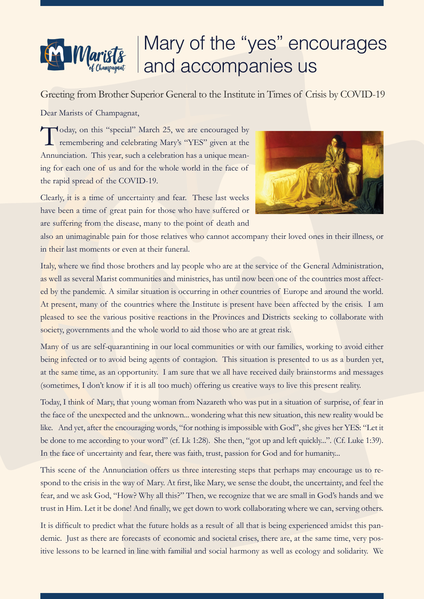## $M$ aris

## Mary of the "yes" encourages and accompanies us

Greeting from Brother Superior General to the Institute in Times of Crisis by COVID-19

Dear Marists of Champagnat,

Today, on this "special" March 25, we are encouraged by remembering and celebrating Mary's "YES" given at the Annunciation. This year, such a celebration has a unique meaning for each one of us and for the whole world in the face of the rapid spread of the COVID-19.



Clearly, it is a time of uncertainty and fear. These last weeks have been a time of great pain for those who have suffered or are suffering from the disease, many to the point of death and

also an unimaginable pain for those relatives who cannot accompany their loved ones in their illness, or in their last moments or even at their funeral.

Italy, where we find those brothers and lay people who are at the service of the General Administration, as well as several Marist communities and ministries, has until now been one of the countries most affected by the pandemic. A similar situation is occurring in other countries of Europe and around the world. At present, many of the countries where the Institute is present have been affected by the crisis. I am pleased to see the various positive reactions in the Provinces and Districts seeking to collaborate with society, governments and the whole world to aid those who are at great risk.

Many of us are self-quarantining in our local communities or with our families, working to avoid either being infected or to avoid being agents of contagion. This situation is presented to us as a burden yet, at the same time, as an opportunity. I am sure that we all have received daily brainstorms and messages (sometimes, I don't know if it is all too much) offering us creative ways to live this present reality.

Today, I think of Mary, that young woman from Nazareth who was put in a situation of surprise, of fear in the face of the unexpected and the unknown... wondering what this new situation, this new reality would be like. And yet, after the encouraging words, "for nothing is impossible with God", she gives her YES: "Let it be done to me according to your word" (cf. Lk 1:28). She then, "got up and left quickly...". (Cf. Luke 1:39). In the face of uncertainty and fear, there was faith, trust, passion for God and for humanity...

This scene of the Annunciation offers us three interesting steps that perhaps may encourage us to respond to the crisis in the way of Mary. At first, like Mary, we sense the doubt, the uncertainty, and feel the fear, and we ask God, "How? Why all this?" Then, we recognize that we are small in God's hands and we trust in Him. Let it be done! And finally, we get down to work collaborating where we can, serving others.

It is difficult to predict what the future holds as a result of all that is being experienced amidst this pandemic. Just as there are forecasts of economic and societal crises, there are, at the same time, very positive lessons to be learned in line with familial and social harmony as well as ecology and solidarity. We